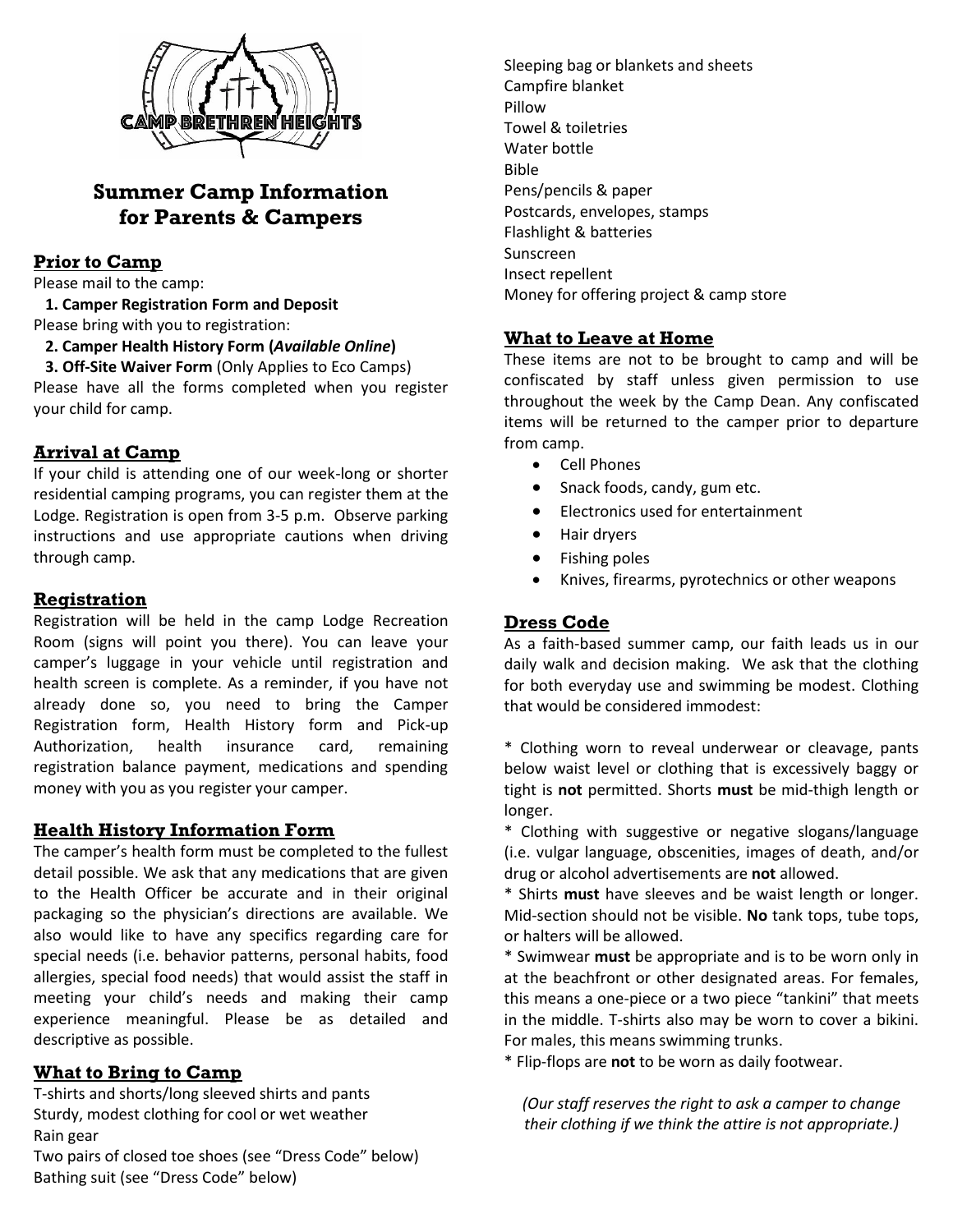

# **Summer Camp Information for Parents & Campers**

## **Prior to Camp**

Please mail to the camp:

 **1. Camper Registration Form and Deposit**

Please bring with you to registration:

 **2. Camper Health History Form (***Available Online***)**

 **3. Off-Site Waiver Form** (Only Applies to Eco Camps) Please have all the forms completed when you register your child for camp.

## **Arrival at Camp**

If your child is attending one of our week-long or shorter residential camping programs, you can register them at the Lodge. Registration is open from 3-5 p.m. Observe parking instructions and use appropriate cautions when driving through camp.

### **Registration**

Registration will be held in the camp Lodge Recreation Room (signs will point you there). You can leave your camper's luggage in your vehicle until registration and health screen is complete. As a reminder, if you have not already done so, you need to bring the Camper Registration form, Health History form and Pick-up Authorization, health insurance card, remaining registration balance payment, medications and spending money with you as you register your camper.

### **Health History Information Form**

The camper's health form must be completed to the fullest detail possible. We ask that any medications that are given to the Health Officer be accurate and in their original packaging so the physician's directions are available. We also would like to have any specifics regarding care for special needs (i.e. behavior patterns, personal habits, food allergies, special food needs) that would assist the staff in meeting your child's needs and making their camp experience meaningful. Please be as detailed and descriptive as possible.

### **What to Bring to Camp**

T-shirts and shorts/long sleeved shirts and pants Sturdy, modest clothing for cool or wet weather Rain gear Two pairs of closed toe shoes (see "Dress Code" below) Bathing suit (see "Dress Code" below)

Sleeping bag or blankets and sheets Campfire blanket Pillow Towel & toiletries Water bottle Bible Pens/pencils & paper Postcards, envelopes, stamps Flashlight & batteries Sunscreen Insect repellent Money for offering project & camp store

### **What to Leave at Home**

These items are not to be brought to camp and will be confiscated by staff unless given permission to use throughout the week by the Camp Dean. Any confiscated items will be returned to the camper prior to departure from camp.

- Cell Phones
- Snack foods, candy, gum etc.
- Electronics used for entertainment
- Hair dryers
- Fishing poles
- Knives, firearms, pyrotechnics or other weapons

## **Dress Code**

As a faith-based summer camp, our faith leads us in our daily walk and decision making. We ask that the clothing for both everyday use and swimming be modest. Clothing that would be considered immodest:

\* Clothing worn to reveal underwear or cleavage, pants below waist level or clothing that is excessively baggy or tight is **not** permitted. Shorts **must** be mid-thigh length or longer.

\* Clothing with suggestive or negative slogans/language (i.e. vulgar language, obscenities, images of death, and/or drug or alcohol advertisements are **not** allowed.

\* Shirts **must** have sleeves and be waist length or longer. Mid-section should not be visible. **No** tank tops, tube tops, or halters will be allowed.

\* Swimwear **must** be appropriate and is to be worn only in at the beachfront or other designated areas. For females, this means a one-piece or a two piece "tankini" that meets in the middle. T-shirts also may be worn to cover a bikini. For males, this means swimming trunks.

\* Flip-flops are **not** to be worn as daily footwear.

*(Our staff reserves the right to ask a camper to change their clothing if we think the attire is not appropriate.)*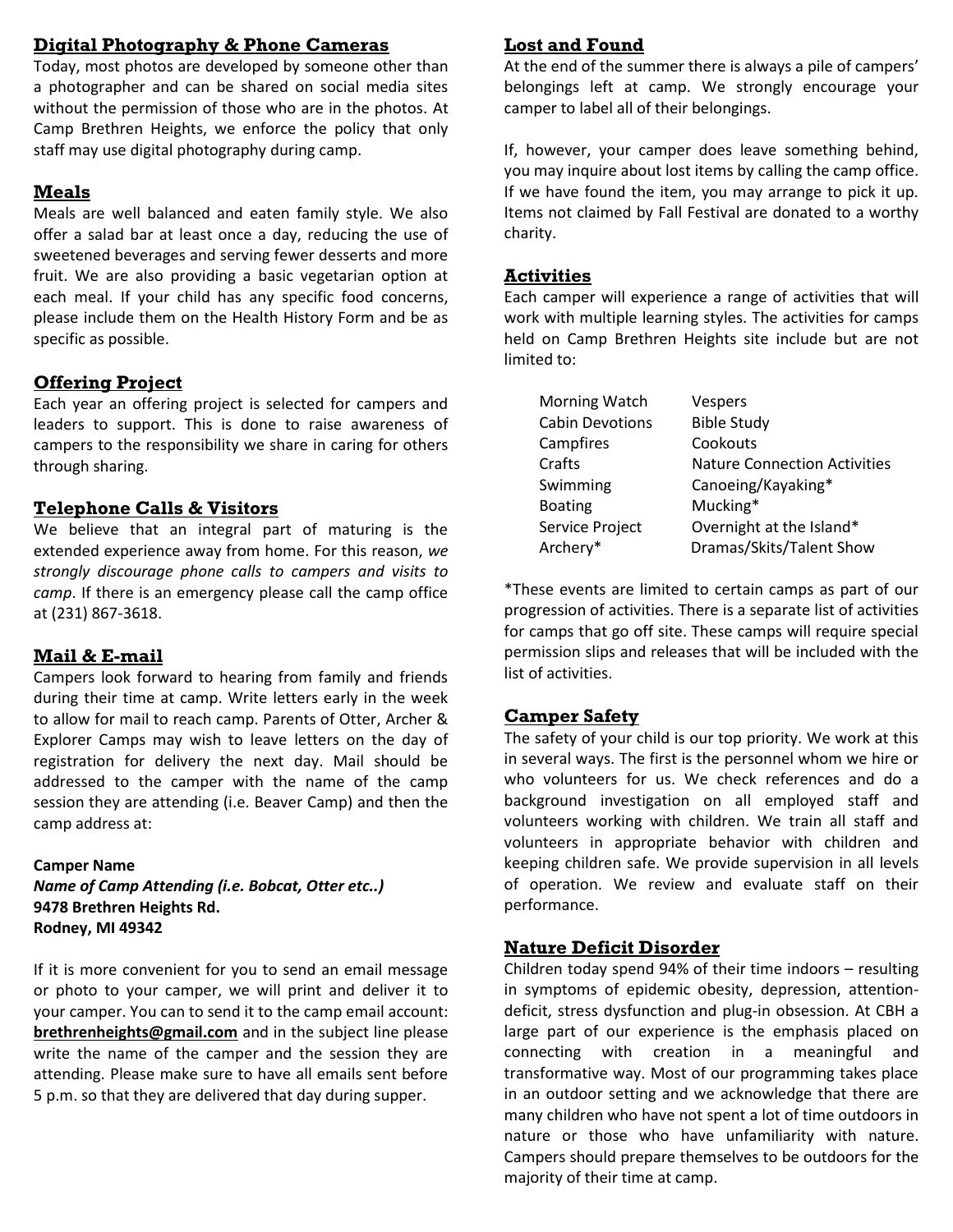## **Digital Photography & Phone Cameras**

Today, most photos are developed by someone other than a photographer and can be shared on social media sites without the permission of those who are in the photos. At Camp Brethren Heights, we enforce the policy that only staff may use digital photography during camp.

### **Meals**

Meals are well balanced and eaten family style. We also offer a salad bar at least once a day, reducing the use of sweetened beverages and serving fewer desserts and more fruit. We are also providing a basic vegetarian option at each meal. If your child has any specific food concerns, please include them on the Health History Form and be as specific as possible.

## **Offering Project**

Each year an offering project is selected for campers and leaders to support. This is done to raise awareness of campers to the responsibility we share in caring for others through sharing.

### **Telephone Calls & Visitors**

We believe that an integral part of maturing is the extended experience away from home. For this reason, *we strongly discourage phone calls to campers and visits to camp*. If there is an emergency please call the camp office at (231) 867-3618.

### **Mail & E-mail**

Campers look forward to hearing from family and friends during their time at camp. Write letters early in the week to allow for mail to reach camp. Parents of Otter, Archer & Explorer Camps may wish to leave letters on the day of registration for delivery the next day. Mail should be addressed to the camper with the name of the camp session they are attending (i.e. Beaver Camp) and then the camp address at:

### **Camper Name**

*Name of Camp Attending (i.e. Bobcat, Otter etc..)* **9478 Brethren Heights Rd. Rodney, MI 49342**

If it is more convenient for you to send an email message or photo to your camper, we will print and deliver it to your camper. You can to send it to the camp email account: **[brethrenheights@gmail.com](mailto:brethrenheights@gmail.com)** and in the subject line please write the name of the camper and the session they are attending. Please make sure to have all emails sent before 5 p.m. so that they are delivered that day during supper.

## **Lost and Found**

At the end of the summer there is always a pile of campers' belongings left at camp. We strongly encourage your camper to label all of their belongings.

If, however, your camper does leave something behind, you may inquire about lost items by calling the camp office. If we have found the item, you may arrange to pick it up. Items not claimed by Fall Festival are donated to a worthy charity.

### **Activities**

Each camper will experience a range of activities that will work with multiple learning styles. The activities for camps held on Camp Brethren Heights site include but are not limited to:

| Morning Watch          | <b>Vespers</b>                      |
|------------------------|-------------------------------------|
| <b>Cabin Devotions</b> | <b>Bible Study</b>                  |
| Campfires              | Cookouts                            |
| Crafts                 | <b>Nature Connection Activities</b> |
| Swimming               | Canoeing/Kayaking*                  |
| <b>Boating</b>         | Mucking*                            |
| Service Project        | Overnight at the Island*            |
| Archery*               | Dramas/Skits/Talent Show            |
|                        |                                     |

\*These events are limited to certain camps as part of our progression of activities. There is a separate list of activities for camps that go off site. These camps will require special permission slips and releases that will be included with the list of activities.

## **Camper Safety**

The safety of your child is our top priority. We work at this in several ways. The first is the personnel whom we hire or who volunteers for us. We check references and do a background investigation on all employed staff and volunteers working with children. We train all staff and volunteers in appropriate behavior with children and keeping children safe. We provide supervision in all levels of operation. We review and evaluate staff on their performance.

### **Nature Deficit Disorder**

Children today spend 94% of their time indoors – resulting in symptoms of epidemic obesity, depression, attentiondeficit, stress dysfunction and plug-in obsession. At CBH a large part of our experience is the emphasis placed on connecting with creation in a meaningful and transformative way. Most of our programming takes place in an outdoor setting and we acknowledge that there are many children who have not spent a lot of time outdoors in nature or those who have unfamiliarity with nature. Campers should prepare themselves to be outdoors for the majority of their time at camp.